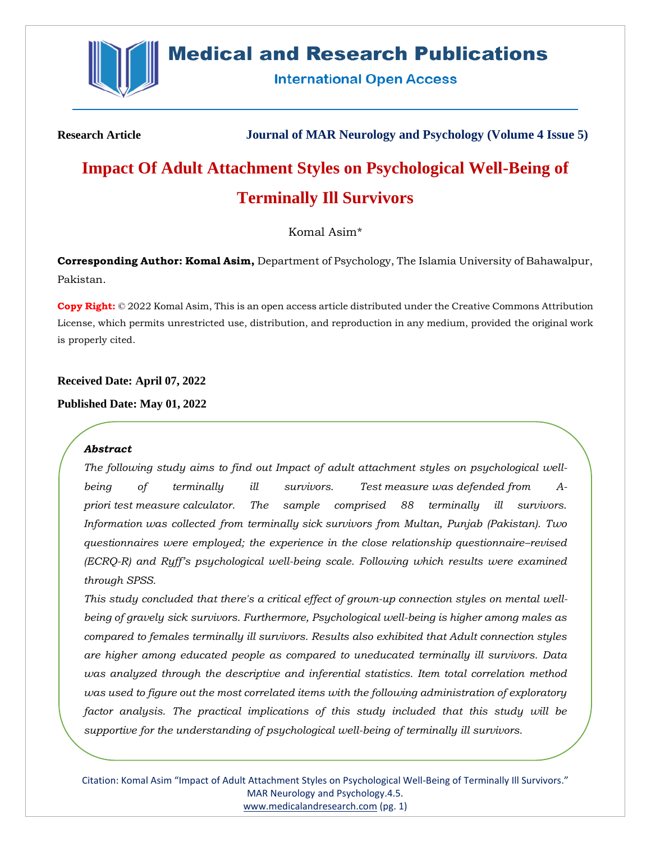

# **Medical and Research Publications**

**International Open Access** 

**Research Article Journal of MAR Neurology and Psychology (Volume 4 Issue 5)**

# **Impact Of Adult Attachment Styles on Psychological Well-Being of Terminally Ill Survivors**

Komal Asim\*

**Corresponding Author: Komal Asim,** Department of Psychology, The Islamia University of Bahawalpur, Pakistan.

**Copy Right:** © 2022 Komal Asim, This is an open access article distributed under the Creative Commons Attribution License, which permits unrestricted use, distribution, and reproduction in any medium, provided the original work is properly cited.

**Received Date: April 07, 2022**

**Published Date: May 01, 2022**

## *Abstract*

*The following study aims to find out Impact of adult attachment styles on psychological wellbeing of terminally ill survivors. Test measure was defended from Apriori test measure calculator. The sample comprised 88 terminally ill survivors. Information was collected from terminally sick survivors from Multan, Punjab (Pakistan). Two questionnaires were employed; the experience in the close relationship questionnaire–revised (ECRQ-R) and Ryff's psychological well-being scale. Following which results were examined through SPSS.* 

*This study concluded that there's a critical effect of grown-up connection styles on mental wellbeing of gravely sick survivors. Furthermore, Psychological well-being is higher among males as compared to females terminally ill survivors. Results also exhibited that Adult connection styles are higher among educated people as compared to uneducated terminally ill survivors. Data was analyzed through the descriptive and inferential statistics. Item total correlation method was used to figure out the most correlated items with the following administration of exploratory factor analysis. The practical implications of this study included that this study will be supportive for the understanding of psychological well-being of terminally ill survivors.*

Citation: Komal Asim "Impact of Adult Attachment Styles on Psychological Well-Being of Terminally Ill Survivors." MAR Neurology and Psychology.4.5. [www.medicalandresearch.com](http://www.medicalandresearch.com/) (pg. 1)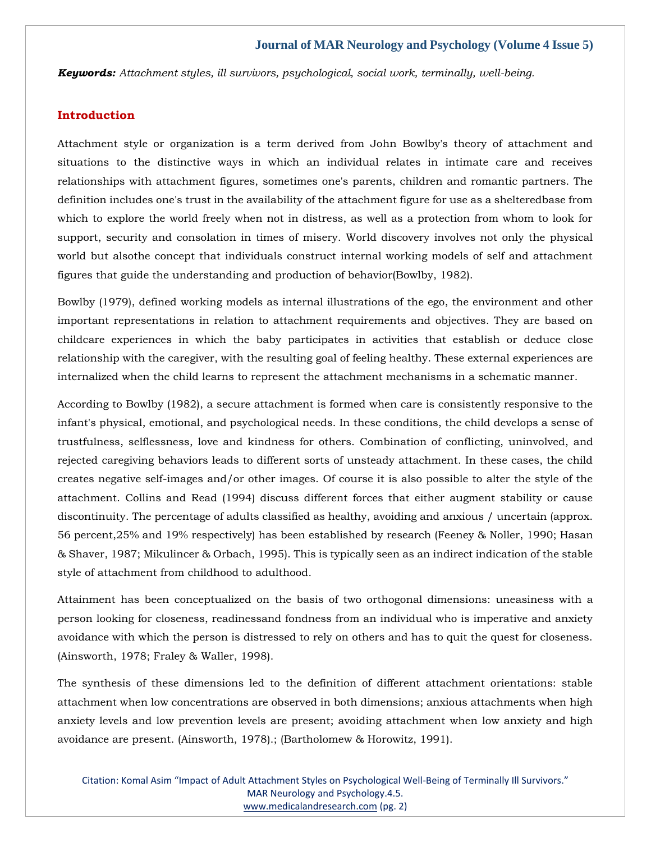*Keywords: Attachment styles, ill survivors, psychological, social work, terminally, well-being.*

#### **Introduction**

Attachment style or organization is a term derived from John Bowlby's theory of attachment and situations to the distinctive ways in which an individual relates in intimate care and receives relationships with attachment figures, sometimes one's parents, children and romantic partners. The definition includes one's trust in the availability of the attachment figure for use as a shelteredbase from which to explore the world freely when not in distress, as well as a protection from whom to look for support, security and consolation in times of misery. World discovery involves not only the physical world but alsothe concept that individuals construct internal working models of self and attachment figures that guide the understanding and production of behavior(Bowlby, 1982).

Bowlby (1979), defined working models as internal illustrations of the ego, the environment and other important representations in relation to attachment requirements and objectives. They are based on childcare experiences in which the baby participates in activities that establish or deduce close relationship with the caregiver, with the resulting goal of feeling healthy. These external experiences are internalized when the child learns to represent the attachment mechanisms in a schematic manner.

According to Bowlby (1982), a secure attachment is formed when care is consistently responsive to the infant's physical, emotional, and psychological needs. In these conditions, the child develops a sense of trustfulness, selflessness, love and kindness for others. Combination of conflicting, uninvolved, and rejected caregiving behaviors leads to different sorts of unsteady attachment. In these cases, the child creates negative self-images and/or other images. Of course it is also possible to alter the style of the attachment. Collins and Read (1994) discuss different forces that either augment stability or cause discontinuity. The percentage of adults classified as healthy, avoiding and anxious / uncertain (approx. 56 percent,25% and 19% respectively) has been established by research (Feeney & Noller, 1990; Hasan & Shaver, 1987; Mikulincer & Orbach, 1995). This is typically seen as an indirect indication of the stable style of attachment from childhood to adulthood.

Attainment has been conceptualized on the basis of two orthogonal dimensions: uneasiness with a person looking for closeness, readinessand fondness from an individual who is imperative and anxiety avoidance with which the person is distressed to rely on others and has to quit the quest for closeness. (Ainsworth, 1978; Fraley & Waller, 1998).

The synthesis of these dimensions led to the definition of different attachment orientations: stable attachment when low concentrations are observed in both dimensions; anxious attachments when high anxiety levels and low prevention levels are present; avoiding attachment when low anxiety and high avoidance are present. (Ainsworth, 1978).; (Bartholomew & Horowitz, 1991).

Citation: Komal Asim "Impact of Adult Attachment Styles on Psychological Well-Being of Terminally Ill Survivors." MAR Neurology and Psychology.4.5. [www.medicalandresearch.com](http://www.medicalandresearch.com/) (pg. 2)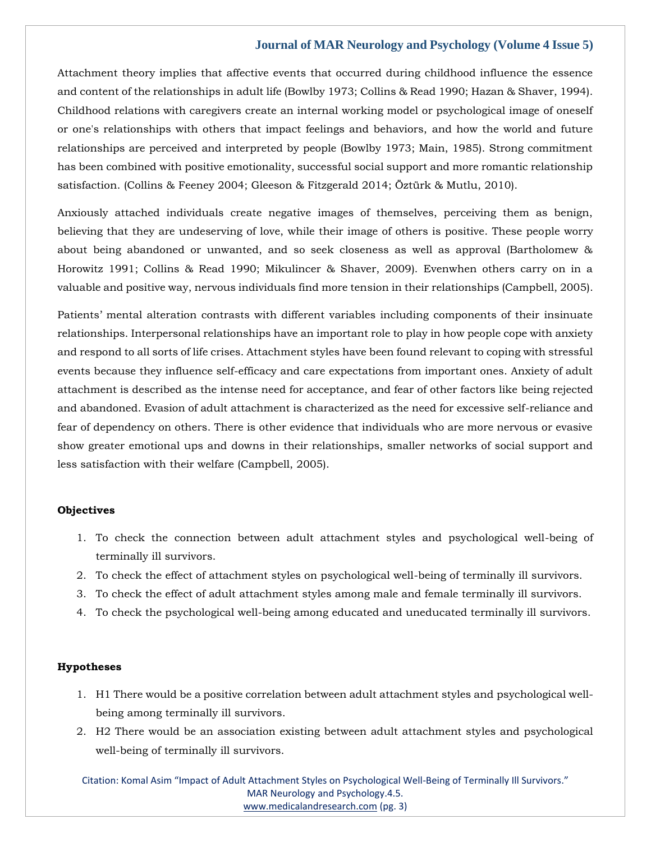Attachment theory implies that affective events that occurred during childhood influence the essence and content of the relationships in adult life (Bowlby 1973; Collins & Read 1990; Hazan & Shaver, 1994). Childhood relations with caregivers create an internal working model or psychological image of oneself or one's relationships with others that impact feelings and behaviors, and how the world and future relationships are perceived and interpreted by people (Bowlby 1973; Main, 1985). Strong commitment has been combined with positive emotionality, successful social support and more romantic relationship satisfaction. (Collins & Feeney 2004; Gleeson & Fitzgerald 2014; Öztürk & Mutlu, 2010).

Anxiously attached individuals create negative images of themselves, perceiving them as benign, believing that they are undeserving of love, while their image of others is positive. These people worry about being abandoned or unwanted, and so seek closeness as well as approval (Bartholomew & Horowitz 1991; Collins & Read 1990; Mikulincer & Shaver, 2009). Evenwhen others carry on in a valuable and positive way, nervous individuals find more tension in their relationships (Campbell, 2005).

Patients' mental alteration contrasts with different variables including components of their insinuate relationships. Interpersonal relationships have an important role to play in how people cope with anxiety and respond to all sorts of life crises. Attachment styles have been found relevant to coping with stressful events because they influence self-efficacy and care expectations from important ones. Anxiety of adult attachment is described as the intense need for acceptance, and fear of other factors like being rejected and abandoned. Evasion of adult attachment is characterized as the need for excessive self-reliance and fear of dependency on others. There is other evidence that individuals who are more nervous or evasive show greater emotional ups and downs in their relationships, smaller networks of social support and less satisfaction with their welfare (Campbell, 2005).

#### **Objectives**

- 1. To check the connection between adult attachment styles and psychological well-being of terminally ill survivors.
- 2. To check the effect of attachment styles on psychological well-being of terminally ill survivors.
- 3. To check the effect of adult attachment styles among male and female terminally ill survivors.
- 4. To check the psychological well-being among educated and uneducated terminally ill survivors.

#### **Hypotheses**

- 1. H1 There would be a positive correlation between adult attachment styles and psychological wellbeing among terminally ill survivors.
- 2. H2 There would be an association existing between adult attachment styles and psychological well-being of terminally ill survivors.

Citation: Komal Asim "Impact of Adult Attachment Styles on Psychological Well-Being of Terminally Ill Survivors." MAR Neurology and Psychology.4.5. [www.medicalandresearch.com](http://www.medicalandresearch.com/) (pg. 3)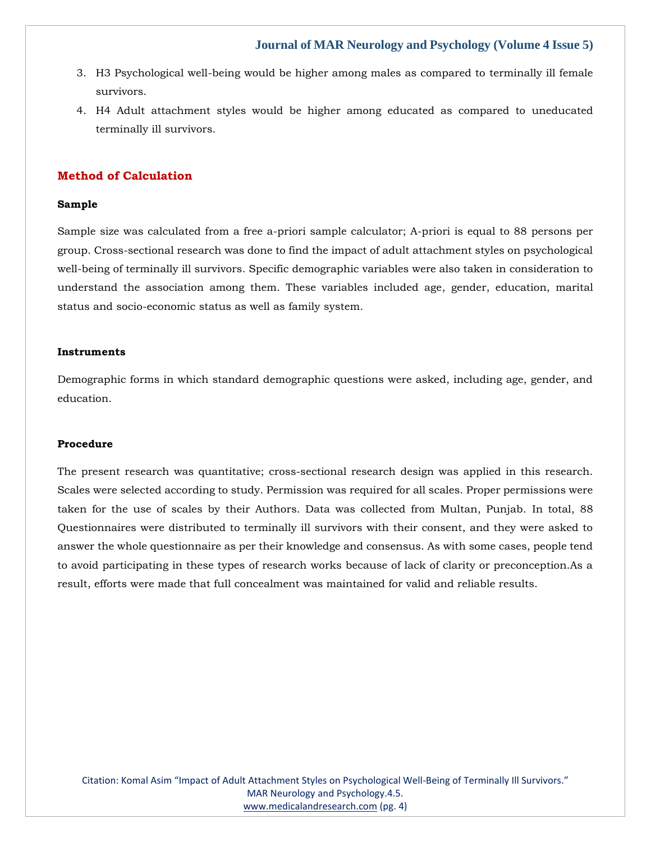- 3. H3 Psychological well-being would be higher among males as compared to terminally ill female survivors.
- 4. H4 Adult attachment styles would be higher among educated as compared to uneducated terminally ill survivors.

# **Method of Calculation**

#### **Sample**

Sample size was calculated from a free a-priori sample calculator; A-priori is equal to 88 persons per group. Cross-sectional research was done to find the impact of adult attachment styles on psychological well-being of terminally ill survivors. Specific demographic variables were also taken in consideration to understand the association among them. These variables included age, gender, education, marital status and socio-economic status as well as family system.

#### **Instruments**

Demographic forms in which standard demographic questions were asked, including age, gender, and education.

#### **Procedure**

The present research was quantitative; cross-sectional research design was applied in this research. Scales were selected according to study. Permission was required for all scales. Proper permissions were taken for the use of scales by their Authors. Data was collected from Multan, Punjab. In total, 88 Questionnaires were distributed to terminally ill survivors with their consent, and they were asked to answer the whole questionnaire as per their knowledge and consensus. As with some cases, people tend to avoid participating in these types of research works because of lack of clarity or preconception.As a result, efforts were made that full concealment was maintained for valid and reliable results.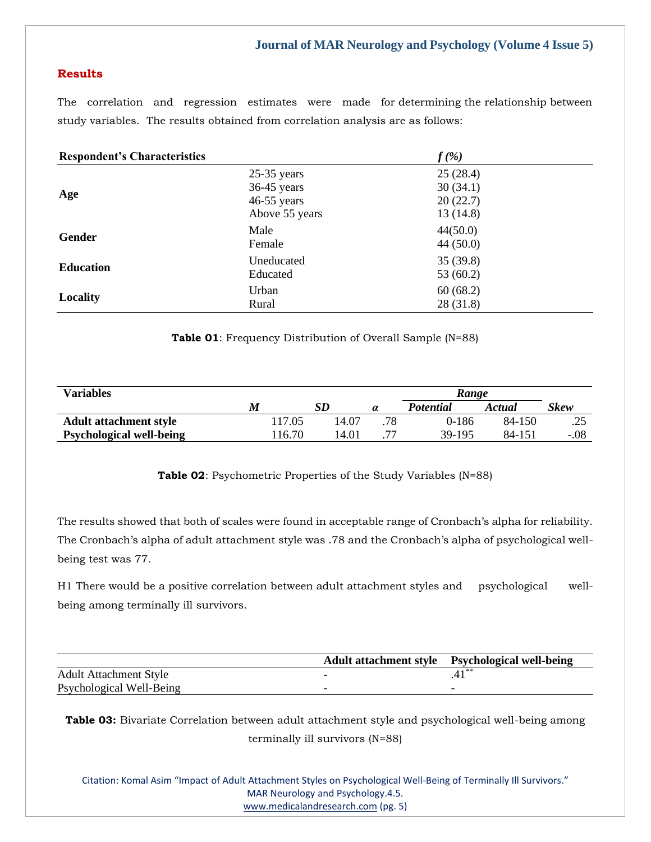# **Results**

The correlation and regression estimates were made for determining the relationship between study variables. The results obtained from correlation analysis are as follows:

| <b>Respondent's Characteristics</b> |                                                                   | $f(\%)$                                      |  |  |
|-------------------------------------|-------------------------------------------------------------------|----------------------------------------------|--|--|
| Age                                 | $25-35$ years<br>$36-45$ years<br>$46-55$ years<br>Above 55 years | 25(28.4)<br>30(34.1)<br>20(22.7)<br>13(14.8) |  |  |
| Gender                              | Male<br>Female                                                    | 44(50.0)<br>44(50.0)                         |  |  |
| <b>Education</b>                    | Uneducated<br>Educated                                            | 35(39.8)<br>53 (60.2)                        |  |  |
| Locality                            | Urban<br>Rural                                                    | 60(68.2)<br>28(31.8)                         |  |  |

**Table 01**: Frequency Distribution of Overall Sample (N=88)

| <b>Variables</b>                | Range  |       |          |                  |        |        |
|---------------------------------|--------|-------|----------|------------------|--------|--------|
|                                 | M      | SD    | $\alpha$ | <b>Potential</b> | Actual | Skew   |
| <b>Adult attachment style</b>   | 117.05 | 14.07 | .78      | 0-186            | 84-150 | ن ک    |
| <b>Psychological well-being</b> | 116.70 | 14.01 |          | 39-195           | 84-151 | $-.08$ |

**Table 02**: Psychometric Properties of the Study Variables (N=88)

The results showed that both of scales were found in acceptable range of Cronbach's alpha for reliability. The Cronbach's alpha of adult attachment style was .78 and the Cronbach's alpha of psychological wellbeing test was 77.

H1 There would be a positive correlation between adult attachment styles and psychological wellbeing among terminally ill survivors.

|                               | Adult attachment style Psychological well-being |
|-------------------------------|-------------------------------------------------|
| <b>Adult Attachment Style</b> |                                                 |
| Psychological Well-Being      |                                                 |

**Table 03:** Bivariate Correlation between adult attachment style and psychological well-being among terminally ill survivors (N=88)

Citation: Komal Asim "Impact of Adult Attachment Styles on Psychological Well-Being of Terminally Ill Survivors." MAR Neurology and Psychology.4.5. [www.medicalandresearch.com](http://www.medicalandresearch.com/) (pg. 5)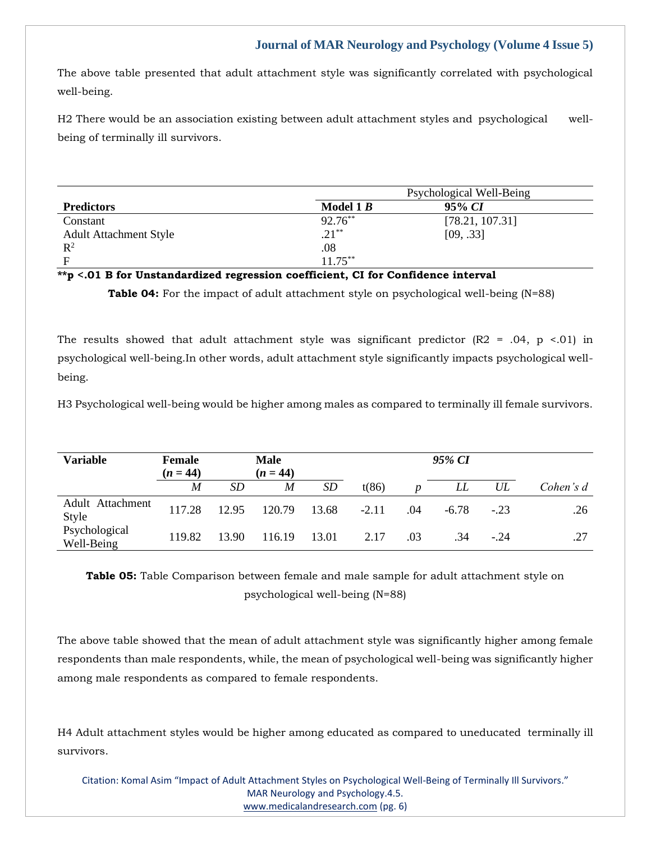The above table presented that adult attachment style was significantly correlated with psychological well-being.

H2 There would be an association existing between adult attachment styles and psychological wellbeing of terminally ill survivors.

| Model 1 $B$ | 95% CI                                                                                                          |
|-------------|-----------------------------------------------------------------------------------------------------------------|
| $92.76***$  | [78.21, 107.31]                                                                                                 |
| $.21***$    | [09, .33]                                                                                                       |
| .08         |                                                                                                                 |
| $11.75***$  |                                                                                                                 |
|             | dolor and the Constitution of the following constitution of Constitution of Constitution of the Constitution of |

# **\*\*p <.01 B for Unstandardized regression coefficient, CI for Confidence interval**

**Table 04:** For the impact of adult attachment style on psychological well-being (N=88)

The results showed that adult attachment style was significant predictor  $(R2 = .04, p < .01)$  in psychological well-being.In other words, adult attachment style significantly impacts psychological wellbeing.

H3 Psychological well-being would be higher among males as compared to terminally ill female survivors.

| <b>Variable</b>             | <b>Female</b><br>$(n = 44)$ | <b>Male</b><br>$(n = 44)$ |        |       | 95% CI  |                  |         |        |           |
|-----------------------------|-----------------------------|---------------------------|--------|-------|---------|------------------|---------|--------|-----------|
|                             | M                           | SD                        | M      | SD    | t(86)   | $\boldsymbol{D}$ | LL      | UL     | Cohen's d |
| Adult Attachment<br>Style   | 117.28                      | 12.95                     | 120.79 | 13.68 | $-2.11$ | .04              | $-6.78$ | $-.23$ | .26       |
| Psychological<br>Well-Being | 119.82                      | 13.90                     | 116.19 | 13.01 | 2.17    | .03              | .34     | $-24$  | .27       |

**Table 05:** Table Comparison between female and male sample for adult attachment style on psychological well-being (N=88)

The above table showed that the mean of adult attachment style was significantly higher among female respondents than male respondents, while, the mean of psychological well-being was significantly higher among male respondents as compared to female respondents.

H4 Adult attachment styles would be higher among educated as compared to uneducated terminally ill survivors.

Citation: Komal Asim "Impact of Adult Attachment Styles on Psychological Well-Being of Terminally Ill Survivors." MAR Neurology and Psychology.4.5. [www.medicalandresearch.com](http://www.medicalandresearch.com/) (pg. 6)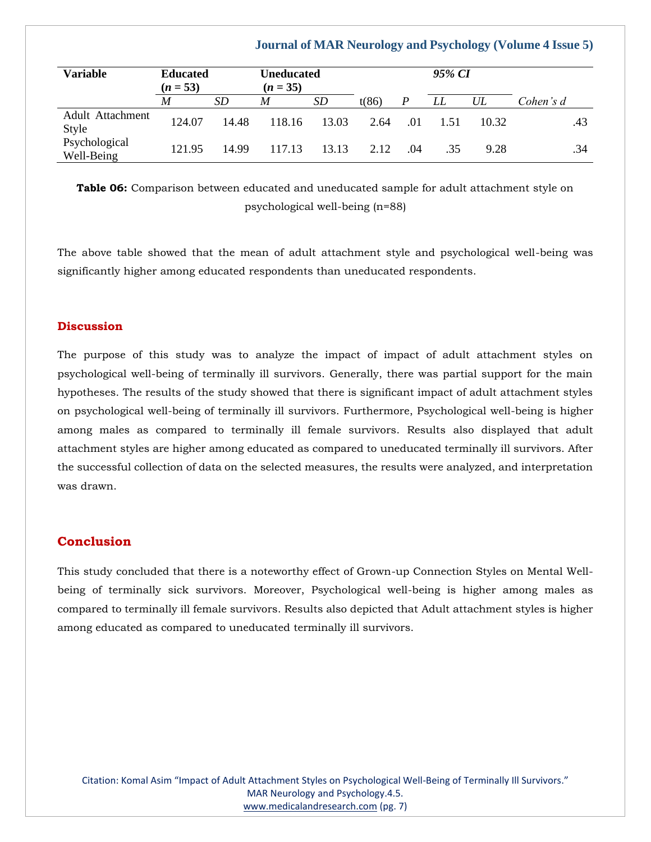| <b>Variable</b>             | $(n = 53)$ | <b>Educated</b><br><b>Uneducated</b><br>$(n = 35)$ |        |       | 95% CI |                  |      |       |           |
|-----------------------------|------------|----------------------------------------------------|--------|-------|--------|------------------|------|-------|-----------|
|                             | M          | SD                                                 | M      | SD    | t(86)  | $\boldsymbol{P}$ | LL   | UL    | Cohen's d |
| Adult Attachment<br>Style   | 124.07     | 14.48                                              | 118.16 | 13.03 | 2.64   | .01              | 1.51 | 10.32 | .43       |
| Psychological<br>Well-Being | 121.95     | 14.99                                              | 117.13 | 13.13 | 2.12   | .04              | .35  | 9.28  | .34       |

**Table 06:** Comparison between educated and uneducated sample for adult attachment style on psychological well-being (n=88)

The above table showed that the mean of adult attachment style and psychological well-being was significantly higher among educated respondents than uneducated respondents.

## **Discussion**

The purpose of this study was to analyze the impact of impact of adult attachment styles on psychological well-being of terminally ill survivors. Generally, there was partial support for the main hypotheses. The results of the study showed that there is significant impact of adult attachment styles on psychological well-being of terminally ill survivors. Furthermore, Psychological well-being is higher among males as compared to terminally ill female survivors. Results also displayed that adult attachment styles are higher among educated as compared to uneducated terminally ill survivors. After the successful collection of data on the selected measures, the results were analyzed, and interpretation was drawn.

# **Conclusion**

This study concluded that there is a noteworthy effect of Grown-up Connection Styles on Mental Wellbeing of terminally sick survivors. Moreover, Psychological well-being is higher among males as compared to terminally ill female survivors. Results also depicted that Adult attachment styles is higher among educated as compared to uneducated terminally ill survivors.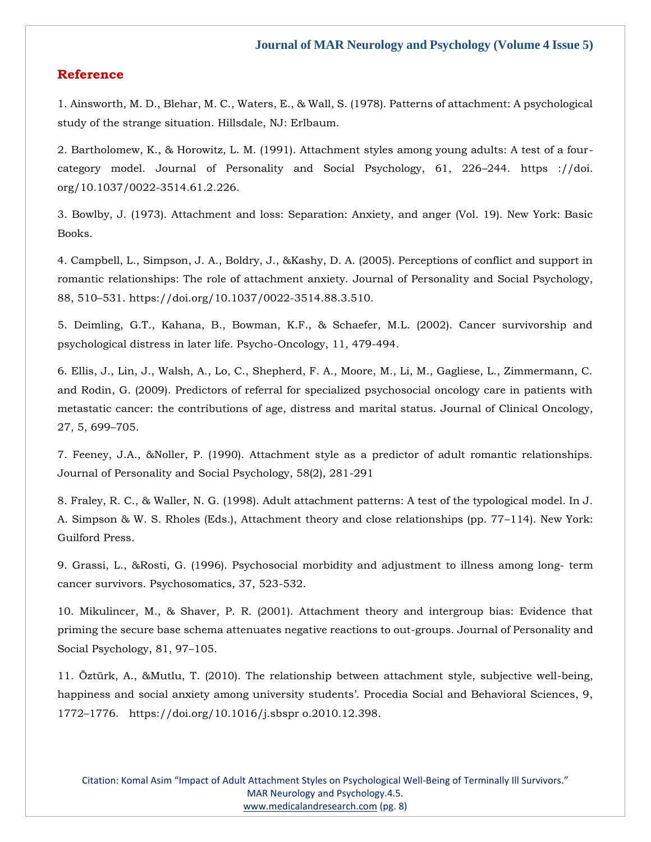## **Reference**

[1. Ainsworth, M. D., Blehar, M. C., Waters, E., & Wall, S. \(1978\). Patterns of attachment: A psychological](https://www.google.com/search?q=Patterns+of+attachment%3A+A+psychological+study+of+the+strange+situation&oq=Patterns+of+attachment%3A+A+psychological+study+of+the+strange+situation&aqs=chrome..69i57.1028j0j4&sourceid=chrome&ie=UTF-8)  [study of the strange situation. Hillsdale, NJ: Erlbaum.](https://www.google.com/search?q=Patterns+of+attachment%3A+A+psychological+study+of+the+strange+situation&oq=Patterns+of+attachment%3A+A+psychological+study+of+the+strange+situation&aqs=chrome..69i57.1028j0j4&sourceid=chrome&ie=UTF-8)

[2. Bartholomew, K., & Horowitz, L. M. \(1991\). Attachment styles among young adults: A test of a four](https://www.google.com/search?q=Attachment+styles+among+young+adults%3A+A+test+of+a+four-category+model.&sxsrf=APq-WBvYfPAaqDLMc4yLsOnA5cUII3W53A%3A1649662290523&ei=UtlTYtTGH-jA3LUP5vKOYA&ved=0ahUKEwjUt832vov3AhVoILcAHWa5AwwQ4dUDCA4&oq=Attachment+styles+among+young+adults%3A+A+test+of+a+four-category+model.&gs_lcp=Cgdnd3Mtd2l6EAwyBwgjEOoCECcyBwgjEOoCECcyBwgjEOoCECcyBwgjEOoCECcyBwgjEOoCECcyBwgjEOoCECcyBwgjEOoCECcyBwgjEOoCECcyBwgjEOoCECcyBwgjEOoCECdKBAhBGABKBAhGGABQ4QNY4QNgyghoAnABeACAAQCIAQCSAQCYAQCgAQGgAQKwAQrAAQE&sclient=gws-wiz)[category model. Journal of Personality and Social Psychology, 61, 226](https://www.google.com/search?q=Attachment+styles+among+young+adults%3A+A+test+of+a+four-category+model.&sxsrf=APq-WBvYfPAaqDLMc4yLsOnA5cUII3W53A%3A1649662290523&ei=UtlTYtTGH-jA3LUP5vKOYA&ved=0ahUKEwjUt832vov3AhVoILcAHWa5AwwQ4dUDCA4&oq=Attachment+styles+among+young+adults%3A+A+test+of+a+four-category+model.&gs_lcp=Cgdnd3Mtd2l6EAwyBwgjEOoCECcyBwgjEOoCECcyBwgjEOoCECcyBwgjEOoCECcyBwgjEOoCECcyBwgjEOoCECcyBwgjEOoCECcyBwgjEOoCECcyBwgjEOoCECcyBwgjEOoCECdKBAhBGABKBAhGGABQ4QNY4QNgyghoAnABeACAAQCIAQCSAQCYAQCgAQGgAQKwAQrAAQE&sclient=gws-wiz)–244. https ://doi. [org/10.1037/0022-3514.61.2.226.](https://www.google.com/search?q=Attachment+styles+among+young+adults%3A+A+test+of+a+four-category+model.&sxsrf=APq-WBvYfPAaqDLMc4yLsOnA5cUII3W53A%3A1649662290523&ei=UtlTYtTGH-jA3LUP5vKOYA&ved=0ahUKEwjUt832vov3AhVoILcAHWa5AwwQ4dUDCA4&oq=Attachment+styles+among+young+adults%3A+A+test+of+a+four-category+model.&gs_lcp=Cgdnd3Mtd2l6EAwyBwgjEOoCECcyBwgjEOoCECcyBwgjEOoCECcyBwgjEOoCECcyBwgjEOoCECcyBwgjEOoCECcyBwgjEOoCECcyBwgjEOoCECcyBwgjEOoCECcyBwgjEOoCECdKBAhBGABKBAhGGABQ4QNY4QNgyghoAnABeACAAQCIAQCSAQCYAQCgAQGgAQKwAQrAAQE&sclient=gws-wiz)

[3. Bowlby, J. \(1973\). Attachment and loss: Separation: Anxiety, and anger \(Vol. 19\). New York: Basic](https://www.google.com/search?q=Attachment+and+loss%3A+Separation%3A+Anxiety%2C+and+anger+&sxsrf=APq-WBu_ziTgGQzewCbNpaiFVx44iRVxPw%3A1649662309937&ei=ZdlTYq_yOO7Yz7sPw-aXgAQ&ved=0ahUKEwjvuO7_vov3AhVu7HMBHUPzBUAQ4dUDCA4&oq=Attachment+and+loss%3A+Separation%3A+Anxiety%2C+and+anger+&gs_lcp=Cgdnd3Mtd2l6EAwyBggAEBYQHjIGCAAQFhAeMgYIABAWEB46BwgjEOoCECdKBAhBGABKBAhGGABQTVhNYI8EaAFwAXgAgAF0iAF0kgEDMC4xmAEAoAEBoAECsAEKwAEB&sclient=gws-wiz)  [Books.](https://www.google.com/search?q=Attachment+and+loss%3A+Separation%3A+Anxiety%2C+and+anger+&sxsrf=APq-WBu_ziTgGQzewCbNpaiFVx44iRVxPw%3A1649662309937&ei=ZdlTYq_yOO7Yz7sPw-aXgAQ&ved=0ahUKEwjvuO7_vov3AhVu7HMBHUPzBUAQ4dUDCA4&oq=Attachment+and+loss%3A+Separation%3A+Anxiety%2C+and+anger+&gs_lcp=Cgdnd3Mtd2l6EAwyBggAEBYQHjIGCAAQFhAeMgYIABAWEB46BwgjEOoCECdKBAhBGABKBAhGGABQTVhNYI8EaAFwAXgAgAF0iAF0kgEDMC4xmAEAoAEBoAECsAEKwAEB&sclient=gws-wiz)

4. [Campbell, L., Simpson, J. A., Boldry, J., &Kashy, D. A. \(2005\). Perceptions of conflict and support in](file:///C:/Users/Arief%20Mahimudh/Desktop/MARCH%20Proofs/NE/4.%20Campbell,%20L.,%20Simpson,%20J.%20A.,%20Boldry,%20J.,%20&Kashy,%20D.%20A.%20(2005).%20Perceptions%20of%20conflict%20and%20support%20in%20romantic%20relationships:%20The%20role%20of%20attachment%20anxiety.%20Journal%20of%20Personality%20and%20Social%20Psychology,%2088,%20510–531.%20https:/doi.org/10.1037/0022-3514.88.3.510.)  [romantic relationships: The role of attachment anxiety. Journal of Personality and Social Psychology,](file:///C:/Users/Arief%20Mahimudh/Desktop/MARCH%20Proofs/NE/4.%20Campbell,%20L.,%20Simpson,%20J.%20A.,%20Boldry,%20J.,%20&Kashy,%20D.%20A.%20(2005).%20Perceptions%20of%20conflict%20and%20support%20in%20romantic%20relationships:%20The%20role%20of%20attachment%20anxiety.%20Journal%20of%20Personality%20and%20Social%20Psychology,%2088,%20510–531.%20https:/doi.org/10.1037/0022-3514.88.3.510.)  88, 510–[531. https://doi.org/10.1037/0022-3514.88.3.510.](file:///C:/Users/Arief%20Mahimudh/Desktop/MARCH%20Proofs/NE/4.%20Campbell,%20L.,%20Simpson,%20J.%20A.,%20Boldry,%20J.,%20&Kashy,%20D.%20A.%20(2005).%20Perceptions%20of%20conflict%20and%20support%20in%20romantic%20relationships:%20The%20role%20of%20attachment%20anxiety.%20Journal%20of%20Personality%20and%20Social%20Psychology,%2088,%20510–531.%20https:/doi.org/10.1037/0022-3514.88.3.510.)

[5. Deimling, G.T., Kahana, B., Bowman, K.F., & Schaefer, M.L. \(2002\). Cancer survivorship and](https://www.google.com/search?q=Cancer+survivorship+and+psychological+distress+in+later+life.&sxsrf=APq-WBvZnRs3Yh6PCXv9j8DNRgQogodrsw%3A1649662327881&ei=d9lTYvi2NZ6r4t4Pk9OfkAw&ved=0ahUKEwi4zrWIv4v3AhWeldgFHZPpB8IQ4dUDCA4&oq=Cancer+survivorship+and+psychological+distress+in+later+life.&gs_lcp=Cgdnd3Mtd2l6EAw6BwgjEOoCECdKBAhBGABKBAhGGABQzAdYzAdg0ApoAXABeACAAZUCiAGVApIBAzItMZgBAKABAaABArABCsABAQ&sclient=gws-wiz)  [psychological distress in later life. Psycho-Oncology, 11, 479-494.](https://www.google.com/search?q=Cancer+survivorship+and+psychological+distress+in+later+life.&sxsrf=APq-WBvZnRs3Yh6PCXv9j8DNRgQogodrsw%3A1649662327881&ei=d9lTYvi2NZ6r4t4Pk9OfkAw&ved=0ahUKEwi4zrWIv4v3AhWeldgFHZPpB8IQ4dUDCA4&oq=Cancer+survivorship+and+psychological+distress+in+later+life.&gs_lcp=Cgdnd3Mtd2l6EAw6BwgjEOoCECdKBAhBGABKBAhGGABQzAdYzAdg0ApoAXABeACAAZUCiAGVApIBAzItMZgBAKABAaABArABCsABAQ&sclient=gws-wiz)

[6. Ellis, J., Lin, J., Walsh, A., Lo, C., Shepherd, F. A., Moore, M., Li, M., Gagliese, L., Zimmermann, C.](https://www.google.com/search?q=Predictors+of+referral+for+specialized+psychosocial+oncology+care+in+patients+with+metastatic+cancer%3A+the+contributions+of+age%2C+distress+and+marital+status&sxsrf=APq-WBsdTHR5-16g8OQC9jwY9bnkLknZkA%3A1649662358992&ei=ltlTYtuRPPvWz7sPrtyXcA&ved=0ahUKEwjbtKCXv4v3AhV763MBHS7uBQ4Q4dUDCA4&oq=Predictors+of+referral+for+specialized+psychosocial+oncology+care+in+patients+with+metastatic+cancer%3A+the+contributions+of+age%2C+distress+and+marital+status&gs_lcp=Cgdnd3Mtd2l6EAwyBwgjEOoCECcyBwgjEOoCECcyBwgjEOoCECcyBwgjEOoCECcyBwgjEOoCECcyBwgjEOoCECcyBwgjEOoCECcyBwgjEOoCECcyBwgjEOoCECcyBwgjEOoCECdKBAhBGABKBAhGGABQ1gNY1gNg2QdoAXAAeACAAQCIAQCSAQCYAQCgAQGgAQKwAQrAAQE&sclient=gws-wiz)  [and Rodin, G. \(2009\). Predictors of referral for specialized psychosocial oncology care in patients with](https://www.google.com/search?q=Predictors+of+referral+for+specialized+psychosocial+oncology+care+in+patients+with+metastatic+cancer%3A+the+contributions+of+age%2C+distress+and+marital+status&sxsrf=APq-WBsdTHR5-16g8OQC9jwY9bnkLknZkA%3A1649662358992&ei=ltlTYtuRPPvWz7sPrtyXcA&ved=0ahUKEwjbtKCXv4v3AhV763MBHS7uBQ4Q4dUDCA4&oq=Predictors+of+referral+for+specialized+psychosocial+oncology+care+in+patients+with+metastatic+cancer%3A+the+contributions+of+age%2C+distress+and+marital+status&gs_lcp=Cgdnd3Mtd2l6EAwyBwgjEOoCECcyBwgjEOoCECcyBwgjEOoCECcyBwgjEOoCECcyBwgjEOoCECcyBwgjEOoCECcyBwgjEOoCECcyBwgjEOoCECcyBwgjEOoCECcyBwgjEOoCECdKBAhBGABKBAhGGABQ1gNY1gNg2QdoAXAAeACAAQCIAQCSAQCYAQCgAQGgAQKwAQrAAQE&sclient=gws-wiz)  [metastatic cancer: the contributions of age, distress and marital status. Journal of Clinical Oncology,](https://www.google.com/search?q=Predictors+of+referral+for+specialized+psychosocial+oncology+care+in+patients+with+metastatic+cancer%3A+the+contributions+of+age%2C+distress+and+marital+status&sxsrf=APq-WBsdTHR5-16g8OQC9jwY9bnkLknZkA%3A1649662358992&ei=ltlTYtuRPPvWz7sPrtyXcA&ved=0ahUKEwjbtKCXv4v3AhV763MBHS7uBQ4Q4dUDCA4&oq=Predictors+of+referral+for+specialized+psychosocial+oncology+care+in+patients+with+metastatic+cancer%3A+the+contributions+of+age%2C+distress+and+marital+status&gs_lcp=Cgdnd3Mtd2l6EAwyBwgjEOoCECcyBwgjEOoCECcyBwgjEOoCECcyBwgjEOoCECcyBwgjEOoCECcyBwgjEOoCECcyBwgjEOoCECcyBwgjEOoCECcyBwgjEOoCECcyBwgjEOoCECdKBAhBGABKBAhGGABQ1gNY1gNg2QdoAXAAeACAAQCIAQCSAQCYAQCgAQGgAQKwAQrAAQE&sclient=gws-wiz)  [27, 5, 699](https://www.google.com/search?q=Predictors+of+referral+for+specialized+psychosocial+oncology+care+in+patients+with+metastatic+cancer%3A+the+contributions+of+age%2C+distress+and+marital+status&sxsrf=APq-WBsdTHR5-16g8OQC9jwY9bnkLknZkA%3A1649662358992&ei=ltlTYtuRPPvWz7sPrtyXcA&ved=0ahUKEwjbtKCXv4v3AhV763MBHS7uBQ4Q4dUDCA4&oq=Predictors+of+referral+for+specialized+psychosocial+oncology+care+in+patients+with+metastatic+cancer%3A+the+contributions+of+age%2C+distress+and+marital+status&gs_lcp=Cgdnd3Mtd2l6EAwyBwgjEOoCECcyBwgjEOoCECcyBwgjEOoCECcyBwgjEOoCECcyBwgjEOoCECcyBwgjEOoCECcyBwgjEOoCECcyBwgjEOoCECcyBwgjEOoCECcyBwgjEOoCECdKBAhBGABKBAhGGABQ1gNY1gNg2QdoAXAAeACAAQCIAQCSAQCYAQCgAQGgAQKwAQrAAQE&sclient=gws-wiz)–705.

[7. Feeney, J.A., &Noller, P. \(1990\). Attachment style as a predictor of adult romantic relationships.](https://www.google.com/search?q=Attachment+style+as+a+predictor+of+adult+romantic+relationships&sxsrf=APq-WBuYNPx6q9bASoLhxx5VDHKOf3Yeag%3A1649662375743&ei=p9lTYp-ALY_Tz7sP7LuaKA&ved=0ahUKEwjf756fv4v3AhWP6XMBHeydBgUQ4dUDCA4&oq=Attachment+style+as+a+predictor+of+adult+romantic+relationships&gs_lcp=Cgdnd3Mtd2l6EAwyBwgjEOoCECcyBwgjEOoCECcyBwgjEOoCECcyBwgjEOoCECcyBwgjEOoCECcyBwgjEOoCECcyBwgjEOoCECcyBwgjEOoCECcyBwgjEOoCECcyBwgjEOoCECdKBAhBGABKBAhGGABQhghYhghgxQhoAXAAeACAAQCIAQCSAQCYAQCgAQGgAQKwAQrAAQE&sclient=gws-wiz)  [Journal of Personality and Social Psychology, 58\(2\), 281-291](https://www.google.com/search?q=Attachment+style+as+a+predictor+of+adult+romantic+relationships&sxsrf=APq-WBuYNPx6q9bASoLhxx5VDHKOf3Yeag%3A1649662375743&ei=p9lTYp-ALY_Tz7sP7LuaKA&ved=0ahUKEwjf756fv4v3AhWP6XMBHeydBgUQ4dUDCA4&oq=Attachment+style+as+a+predictor+of+adult+romantic+relationships&gs_lcp=Cgdnd3Mtd2l6EAwyBwgjEOoCECcyBwgjEOoCECcyBwgjEOoCECcyBwgjEOoCECcyBwgjEOoCECcyBwgjEOoCECcyBwgjEOoCECcyBwgjEOoCECcyBwgjEOoCECcyBwgjEOoCECdKBAhBGABKBAhGGABQhghYhghgxQhoAXAAeACAAQCIAQCSAQCYAQCgAQGgAQKwAQrAAQE&sclient=gws-wiz)

[8. Fraley, R. C., & Waller, N. G. \(1998\). Adult attachment patterns: A test of the typological model. In J.](https://www.google.com/search?q=Adult+attachment+patterns%3A+A+test+of+the+typological+model&sxsrf=APq-WBuM_mGKQs_vGvh0cktwhvR2HSEUZg%3A1649662390123&ei=ttlTYvCKB7zcz7sP8fGykAc&ved=0ahUKEwjwvYymv4v3AhU87nMBHfG4DHIQ4dUDCA4&oq=Adult+attachment+patterns%3A+A+test+of+the+typological+model&gs_lcp=Cgdnd3Mtd2l6EAwyBwgjEOoCECcyBwgjEOoCECcyBwgjEOoCECcyBwgjEOoCECcyBwgjEOoCECcyBwgjEOoCECcyBwgjEOoCECcyBwgjEOoCECcyBwgjEOoCECcyBwgjEOoCECdKBAhBGABKBAhGGABQnAhYnAhgpAloAXABeACAAXiIAXiSAQMwLjGYAQCgAQGgAQKwAQrAAQE&sclient=gws-wiz)  [A. Simpson & W. S. Rholes \(Eds.\), Attachment theory and close relationships \(pp. 77](https://www.google.com/search?q=Adult+attachment+patterns%3A+A+test+of+the+typological+model&sxsrf=APq-WBuM_mGKQs_vGvh0cktwhvR2HSEUZg%3A1649662390123&ei=ttlTYvCKB7zcz7sP8fGykAc&ved=0ahUKEwjwvYymv4v3AhU87nMBHfG4DHIQ4dUDCA4&oq=Adult+attachment+patterns%3A+A+test+of+the+typological+model&gs_lcp=Cgdnd3Mtd2l6EAwyBwgjEOoCECcyBwgjEOoCECcyBwgjEOoCECcyBwgjEOoCECcyBwgjEOoCECcyBwgjEOoCECcyBwgjEOoCECcyBwgjEOoCECcyBwgjEOoCECcyBwgjEOoCECdKBAhBGABKBAhGGABQnAhYnAhgpAloAXABeACAAXiIAXiSAQMwLjGYAQCgAQGgAQKwAQrAAQE&sclient=gws-wiz)–114). New York: [Guilford Press.](https://www.google.com/search?q=Adult+attachment+patterns%3A+A+test+of+the+typological+model&sxsrf=APq-WBuM_mGKQs_vGvh0cktwhvR2HSEUZg%3A1649662390123&ei=ttlTYvCKB7zcz7sP8fGykAc&ved=0ahUKEwjwvYymv4v3AhU87nMBHfG4DHIQ4dUDCA4&oq=Adult+attachment+patterns%3A+A+test+of+the+typological+model&gs_lcp=Cgdnd3Mtd2l6EAwyBwgjEOoCECcyBwgjEOoCECcyBwgjEOoCECcyBwgjEOoCECcyBwgjEOoCECcyBwgjEOoCECcyBwgjEOoCECcyBwgjEOoCECcyBwgjEOoCECcyBwgjEOoCECdKBAhBGABKBAhGGABQnAhYnAhgpAloAXABeACAAXiIAXiSAQMwLjGYAQCgAQGgAQKwAQrAAQE&sclient=gws-wiz)

[9. Grassi, L., &Rosti, G. \(1996\). Psychosocial morbidity and adjustment to illness among long-](https://www.google.com/search?q=Psychosocial+morbidity+and+adjustment+to+illness+among+long-+term+cancer+survivors&sxsrf=APq-WBvDSHSQRrDF9aOSvkGXO6UUT-vNMg%3A1649662410826&ei=ytlTYvGJMorZz7sP37ewsAU&ved=0ahUKEwjxlvyvv4v3AhWK7HMBHd8bDFYQ4dUDCA4&oq=Psychosocial+morbidity+and+adjustment+to+illness+among+long-+term+cancer+survivors&gs_lcp=Cgdnd3Mtd2l6EAwyBwgjEOoCECcyBwgjEOoCECcyBwgjEOoCECcyBwgjEOoCECcyBwgjEOoCECcyBwgjEOoCECcyBwgjEOoCECcyBwgjEOoCECcyBwgjEOoCECcyBwgjEOoCECdKBAhBGABKBAhGGABQrANYrANgtwhoAXABeACAAeYEiAHmBJIBAzUtMZgBAKABAaABArABCsABAQ&sclient=gws-wiz) term [cancer survivors. Psychosomatics, 37, 523-532.](https://www.google.com/search?q=Psychosocial+morbidity+and+adjustment+to+illness+among+long-+term+cancer+survivors&sxsrf=APq-WBvDSHSQRrDF9aOSvkGXO6UUT-vNMg%3A1649662410826&ei=ytlTYvGJMorZz7sP37ewsAU&ved=0ahUKEwjxlvyvv4v3AhWK7HMBHd8bDFYQ4dUDCA4&oq=Psychosocial+morbidity+and+adjustment+to+illness+among+long-+term+cancer+survivors&gs_lcp=Cgdnd3Mtd2l6EAwyBwgjEOoCECcyBwgjEOoCECcyBwgjEOoCECcyBwgjEOoCECcyBwgjEOoCECcyBwgjEOoCECcyBwgjEOoCECcyBwgjEOoCECcyBwgjEOoCECcyBwgjEOoCECdKBAhBGABKBAhGGABQrANYrANgtwhoAXABeACAAeYEiAHmBJIBAzUtMZgBAKABAaABArABCsABAQ&sclient=gws-wiz)

[10. Mikulincer, M., & Shaver, P. R. \(2001\). Attachment theory and intergroup bias: Evidence that](https://www.google.com/search?q=Attachment+theory+and+intergroup+bias%3A+Evidence+that+priming+the+secure+base+schema+attenuates+negative+reactions+to+out-groups&sxsrf=APq-WBuT92KNayaE-FXYVmQ7DaRf4dlOhg%3A1649662451566&ei=89lTYu-SItTSz7sPhqS-kAg&ved=0ahUKEwiv2LLDv4v3AhVU6XMBHQaSD4IQ4dUDCA4&oq=Attachment+theory+and+intergroup+bias%3A+Evidence+that+priming+the+secure+base+schema+attenuates+negative+reactions+to+out-groups&gs_lcp=Cgdnd3Mtd2l6EAwyBwgjEOoCECcyBwgjEOoCECcyBwgjEOoCECcyBwgjEOoCECcyBwgjEOoCECcyBwgjEOoCECcyBwgjEOoCECcyBwgjEOoCECcyBwgjEOoCECcyBwgjEOoCECdKBAhBGABKBAhGGABQ8wJY8wJg_QdoAXAAeACAAQCIAQCSAQCYAQCgAQGgAQKwAQrAAQE&sclient=gws-wiz)  [priming the secure base schema attenuates negative reactions to out-groups. Journal of Personality and](https://www.google.com/search?q=Attachment+theory+and+intergroup+bias%3A+Evidence+that+priming+the+secure+base+schema+attenuates+negative+reactions+to+out-groups&sxsrf=APq-WBuT92KNayaE-FXYVmQ7DaRf4dlOhg%3A1649662451566&ei=89lTYu-SItTSz7sPhqS-kAg&ved=0ahUKEwiv2LLDv4v3AhVU6XMBHQaSD4IQ4dUDCA4&oq=Attachment+theory+and+intergroup+bias%3A+Evidence+that+priming+the+secure+base+schema+attenuates+negative+reactions+to+out-groups&gs_lcp=Cgdnd3Mtd2l6EAwyBwgjEOoCECcyBwgjEOoCECcyBwgjEOoCECcyBwgjEOoCECcyBwgjEOoCECcyBwgjEOoCECcyBwgjEOoCECcyBwgjEOoCECcyBwgjEOoCECcyBwgjEOoCECdKBAhBGABKBAhGGABQ8wJY8wJg_QdoAXAAeACAAQCIAQCSAQCYAQCgAQGgAQKwAQrAAQE&sclient=gws-wiz)  [Social Psychology, 81, 97](https://www.google.com/search?q=Attachment+theory+and+intergroup+bias%3A+Evidence+that+priming+the+secure+base+schema+attenuates+negative+reactions+to+out-groups&sxsrf=APq-WBuT92KNayaE-FXYVmQ7DaRf4dlOhg%3A1649662451566&ei=89lTYu-SItTSz7sPhqS-kAg&ved=0ahUKEwiv2LLDv4v3AhVU6XMBHQaSD4IQ4dUDCA4&oq=Attachment+theory+and+intergroup+bias%3A+Evidence+that+priming+the+secure+base+schema+attenuates+negative+reactions+to+out-groups&gs_lcp=Cgdnd3Mtd2l6EAwyBwgjEOoCECcyBwgjEOoCECcyBwgjEOoCECcyBwgjEOoCECcyBwgjEOoCECcyBwgjEOoCECcyBwgjEOoCECcyBwgjEOoCECcyBwgjEOoCECcyBwgjEOoCECdKBAhBGABKBAhGGABQ8wJY8wJg_QdoAXAAeACAAQCIAQCSAQCYAQCgAQGgAQKwAQrAAQE&sclient=gws-wiz)–105.

[11. Öztürk, A., &Mutlu, T. \(2010\). The relationship between attachment style, subjective well-being,](file:///C:/Users/Arief%20Mahimudh/Desktop/MARCH%20Proofs/NE/11.%20Öztürk,%20A.,%20&Mutlu,%20T.%20(2010).%20The%20relationship%20between%20attachment%20style,%20subjective%20well-being,%20happiness%20and%20social%20anxiety%20among%20university%20students’.%20Procedia%20Social%20and%20Behavioral%20Sciences,%209,%201772–1776.%20%20%20https:/doi.org/10.1016/j.sbspr%20o.2010.12.398.)  [happiness and social anxiety among university students'. Procedia Social and Behavioral Sciences, 9,](file:///C:/Users/Arief%20Mahimudh/Desktop/MARCH%20Proofs/NE/11.%20Öztürk,%20A.,%20&Mutlu,%20T.%20(2010).%20The%20relationship%20between%20attachment%20style,%20subjective%20well-being,%20happiness%20and%20social%20anxiety%20among%20university%20students’.%20Procedia%20Social%20and%20Behavioral%20Sciences,%209,%201772–1776.%20%20%20https:/doi.org/10.1016/j.sbspr%20o.2010.12.398.)  1772–[1776. https://doi.org/10.1016/j.sbspr o.2010.12.398.](file:///C:/Users/Arief%20Mahimudh/Desktop/MARCH%20Proofs/NE/11.%20Öztürk,%20A.,%20&Mutlu,%20T.%20(2010).%20The%20relationship%20between%20attachment%20style,%20subjective%20well-being,%20happiness%20and%20social%20anxiety%20among%20university%20students’.%20Procedia%20Social%20and%20Behavioral%20Sciences,%209,%201772–1776.%20%20%20https:/doi.org/10.1016/j.sbspr%20o.2010.12.398.)

Citation: Komal Asim "Impact of Adult Attachment Styles on Psychological Well-Being of Terminally Ill Survivors." MAR Neurology and Psychology.4.5. [www.medicalandresearch.com](http://www.medicalandresearch.com/) (pg. 8)